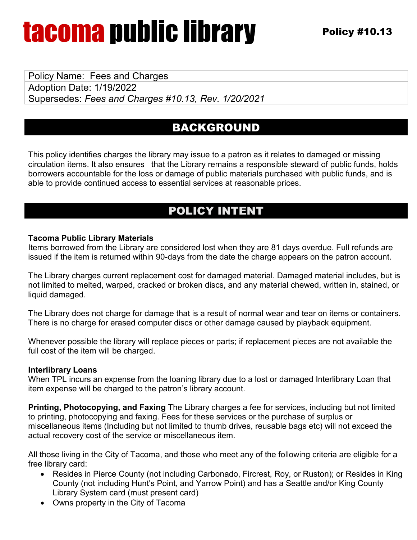## tacoma public library

Policy Name: Fees and Charges Adoption Date: 1/19/2022 Supersedes: *Fees and Charges #10.13, Rev. 1/20/2021*

### BACKGROUND

This policy identifies charges the library may issue to a patron as it relates to damaged or missing circulation items. It also ensures that the Library remains a responsible steward of public funds, holds borrowers accountable for the loss or damage of public materials purchased with public funds, and is able to provide continued access to essential services at reasonable prices.

#### POLICY INTENT

#### **Tacoma Public Library Materials**

Items borrowed from the Library are considered lost when they are 81 days overdue. Full refunds are issued if the item is returned within 90-days from the date the charge appears on the patron account.

The Library charges current replacement cost for damaged material. Damaged material includes, but is not limited to melted, warped, cracked or broken discs, and any material chewed, written in, stained, or liquid damaged.

The Library does not charge for damage that is a result of normal wear and tear on items or containers. There is no charge for erased computer discs or other damage caused by playback equipment.

Whenever possible the library will replace pieces or parts; if replacement pieces are not available the full cost of the item will be charged.

#### **Interlibrary Loans**

When TPL incurs an expense from the loaning library due to a lost or damaged Interlibrary Loan that item expense will be charged to the patron's library account.

**Printing, Photocopying, and Faxing** The Library charges a fee for services, including but not limited to printing, photocopying and faxing. Fees for these services or the purchase of surplus or miscellaneous items (Including but not limited to thumb drives, reusable bags etc) will not exceed the actual recovery cost of the service or miscellaneous item.

All those living in the City of Tacoma, and those who meet any of the following criteria are eligible for a free library card:

- Resides in Pierce County (not including Carbonado, Fircrest, Roy, or Ruston); or Resides in King County (not including Hunt's Point, and Yarrow Point) and has a Seattle and/or King County Library System card (must present card)
- Owns property in the City of Tacoma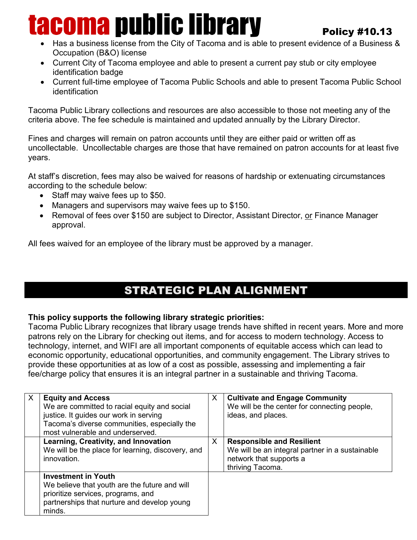# tacoma public library

#### Policy #10.13

- Has a business license from the City of Tacoma and is able to present evidence of a Business & Occupation (B&O) license
- Current City of Tacoma employee and able to present a current pay stub or city employee identification badge
- Current full-time employee of Tacoma Public Schools and able to present Tacoma Public School identification

Tacoma Public Library collections and resources are also accessible to those not meeting any of the criteria above. The fee schedule is maintained and updated annually by the Library Director.

Fines and charges will remain on patron accounts until they are either paid or written off as uncollectable. Uncollectable charges are those that have remained on patron accounts for at least five years.

At staff's discretion, fees may also be waived for reasons of hardship or extenuating circumstances according to the schedule below:

- Staff may waive fees up to \$50.
- Managers and supervisors may waive fees up to \$150.
- Removal of fees over \$150 are subject to Director, Assistant Director, or Finance Manager approval.

All fees waived for an employee of the library must be approved by a manager.

### STRATEGIC PLAN ALIGNMENT

#### **This policy supports the following library strategic priorities:**

Tacoma Public Library recognizes that library usage trends have shifted in recent years. More and more patrons rely on the Library for checking out items, and for access to modern technology. Access to technology, internet, and WIFI are all important components of equitable access which can lead to economic opportunity, educational opportunities, and community engagement. The Library strives to provide these opportunities at as low of a cost as possible, assessing and implementing a fair fee/charge policy that ensures it is an integral partner in a sustainable and thriving Tacoma.

| X | <b>Equity and Access</b><br>We are committed to racial equity and social<br>justice. It guides our work in serving<br>Tacoma's diverse communities, especially the<br>most vulnerable and underserved. | X | <b>Cultivate and Engage Community</b><br>We will be the center for connecting people,<br>ideas, and places.                        |
|---|--------------------------------------------------------------------------------------------------------------------------------------------------------------------------------------------------------|---|------------------------------------------------------------------------------------------------------------------------------------|
|   | Learning, Creativity, and Innovation<br>We will be the place for learning, discovery, and<br>innovation.                                                                                               | X | <b>Responsible and Resilient</b><br>We will be an integral partner in a sustainable<br>network that supports a<br>thriving Tacoma. |
|   | <b>Investment in Youth</b><br>We believe that youth are the future and will<br>prioritize services, programs, and<br>partnerships that nurture and develop young<br>minds.                             |   |                                                                                                                                    |